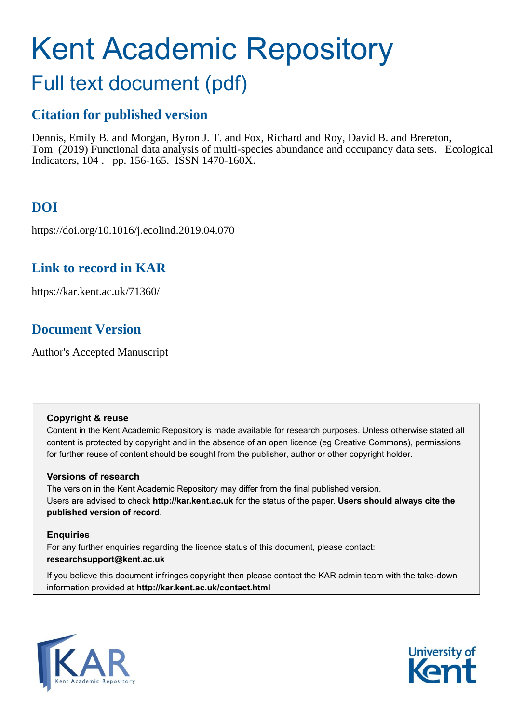# Kent Academic Repository

# Full text document (pdf)

### **Citation for published version**

Dennis, Emily B. and Morgan, Byron J. T. and Fox, Richard and Roy, David B. and Brereton, Tom (2019) Functional data analysis of multi-species abundance and occupancy data sets. Ecological Indicators, 104 . pp. 156-165. ISSN 1470-160X.

# **DOI**

https://doi.org/10.1016/j.ecolind.2019.04.070

### **Link to record in KAR**

https://kar.kent.ac.uk/71360/

## **Document Version**

Author's Accepted Manuscript

#### **Copyright & reuse**

Content in the Kent Academic Repository is made available for research purposes. Unless otherwise stated all content is protected by copyright and in the absence of an open licence (eg Creative Commons), permissions for further reuse of content should be sought from the publisher, author or other copyright holder.

#### **Versions of research**

The version in the Kent Academic Repository may differ from the final published version. Users are advised to check **http://kar.kent.ac.uk** for the status of the paper. **Users should always cite the published version of record.**

#### **Enquiries**

For any further enquiries regarding the licence status of this document, please contact: **researchsupport@kent.ac.uk**

If you believe this document infringes copyright then please contact the KAR admin team with the take-down information provided at **http://kar.kent.ac.uk/contact.html**



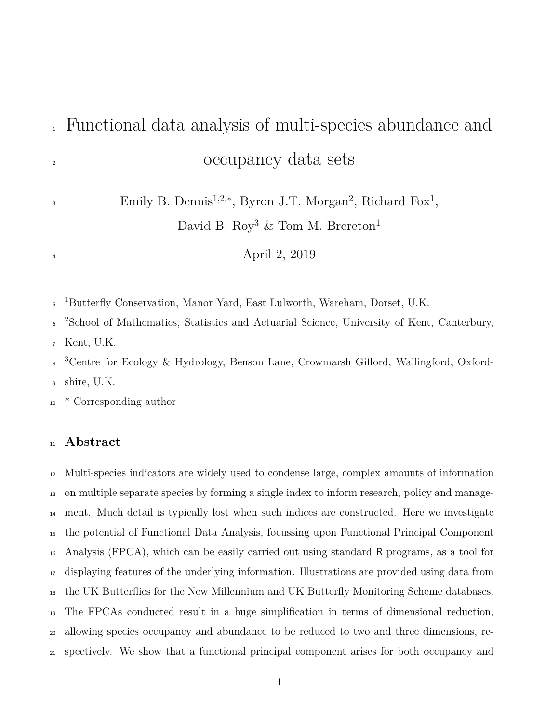# Functional data analysis of multi-species abundance and <sup>2</sup> occupancy data sets

Emily B. Dennis<sup>1,2,\*</sup>, Byron J.T. Morgan<sup>2</sup>, Richard Fox<sup>1</sup>,

David B. Roy<sup>3</sup>  $&$  Tom M. Brereton<sup>1</sup>

April 2, 2019

<sup>5</sup> <sup>1</sup>Butterfly Conservation, Manor Yard, East Lulworth, Wareham, Dorset, U.K.

<sup>2</sup>School of Mathematics, Statistics and Actuarial Science, University of Kent, Canterbury,

Kent, U.K.

<sup>3</sup> Centre for Ecology & Hydrology, Benson Lane, Crowmarsh Gifford, Wallingford, Oxford-shire, U.K.

<sup>10</sup> \* Corresponding author

#### **Abstract**

 Multi-species indicators are widely used to condense large, complex amounts of information on multiple separate species by forming a single index to inform research, policy and manage- ment. Much detail is typically lost when such indices are constructed. Here we investigate the potential of Functional Data Analysis, focussing upon Functional Principal Component Analysis (FPCA), which can be easily carried out using standard R programs, as a tool for displaying features of the underlying information. Illustrations are provided using data from the UK Butterflies for the New Millennium and UK Butterfly Monitoring Scheme databases. The FPCAs conducted result in a huge simplification in terms of dimensional reduction, allowing species occupancy and abundance to be reduced to two and three dimensions, re-spectively. We show that a functional principal component arises for both occupancy and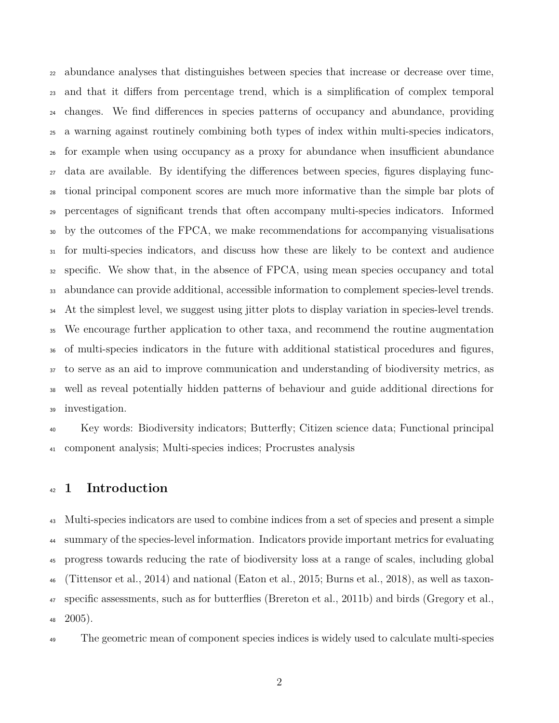abundance analyses that distinguishes between species that increase or decrease over time, and that it differs from percentage trend, which is a simplification of complex temporal changes. We find differences in species patterns of occupancy and abundance, providing a warning against routinely combining both types of index within multi-species indicators, for example when using occupancy as a proxy for abundance when insufficient abundance data are available. By identifying the differences between species, figures displaying func- tional principal component scores are much more informative than the simple bar plots of percentages of significant trends that often accompany multi-species indicators. Informed by the outcomes of the FPCA, we make recommendations for accompanying visualisations for multi-species indicators, and discuss how these are likely to be context and audience specific. We show that, in the absence of FPCA, using mean species occupancy and total abundance can provide additional, accessible information to complement species-level trends. <sup>34</sup> At the simplest level, we suggest using jitter plots to display variation in species-level trends. We encourage further application to other taxa, and recommend the routine augmentation of multi-species indicators in the future with additional statistical procedures and figures, to serve as an aid to improve communication and understanding of biodiversity metrics, as well as reveal potentially hidden patterns of behaviour and guide additional directions for investigation.

 Key words: Biodiversity indicators; Butterfly; Citizen science data; Functional principal component analysis; Multi-species indices; Procrustes analysis

#### **1 Introduction**

 Multi-species indicators are used to combine indices from a set of species and present a simple summary of the species-level information. Indicators provide important metrics for evaluating progress towards reducing the rate of biodiversity loss at a range of scales, including global (Tittensor et al., 2014) and national (Eaton et al., 2015; Burns et al., 2018), as well as taxon- specific assessments, such as for butterflies (Brereton et al., 2011b) and birds (Gregory et al.,  $48\quad2005$ ).

The geometric mean of component species indices is widely used to calculate multi-species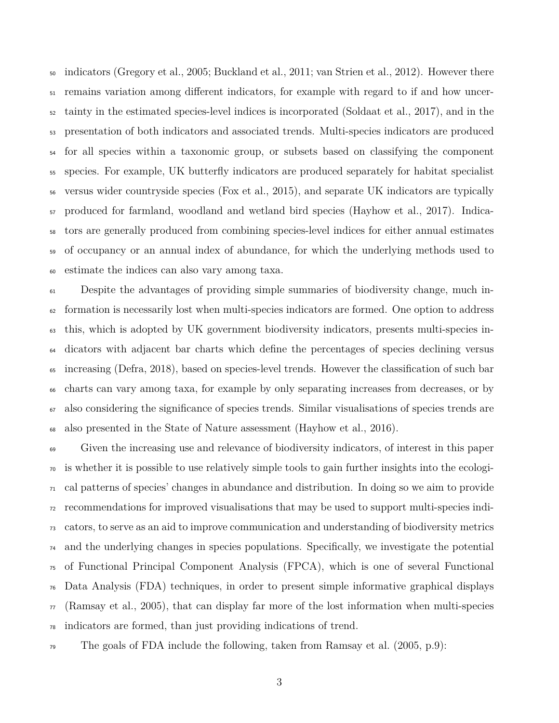indicators (Gregory et al., 2005; Buckland et al., 2011; van Strien et al., 2012). However there remains variation among different indicators, for example with regard to if and how uncer- tainty in the estimated species-level indices is incorporated (Soldaat et al., 2017), and in the presentation of both indicators and associated trends. Multi-species indicators are produced for all species within a taxonomic group, or subsets based on classifying the component species. For example, UK butterfly indicators are produced separately for habitat specialist versus wider countryside species (Fox et al., 2015), and separate UK indicators are typically produced for farmland, woodland and wetland bird species (Hayhow et al., 2017). Indica- tors are generally produced from combining species-level indices for either annual estimates of occupancy or an annual index of abundance, for which the underlying methods used to estimate the indices can also vary among taxa.

 Despite the advantages of providing simple summaries of biodiversity change, much in- formation is necessarily lost when multi-species indicators are formed. One option to address this, which is adopted by UK government biodiversity indicators, presents multi-species in- dicators with adjacent bar charts which define the percentages of species declining versus increasing (Defra, 2018), based on species-level trends. However the classification of such bar charts can vary among taxa, for example by only separating increases from decreases, or by also considering the significance of species trends. Similar visualisations of species trends are also presented in the State of Nature assessment (Hayhow et al., 2016).

 Given the increasing use and relevance of biodiversity indicators, of interest in this paper is whether it is possible to use relatively simple tools to gain further insights into the ecologi- $\tau_1$  cal patterns of species' changes in abundance and distribution. In doing so we aim to provide recommendations for improved visualisations that may be used to support multi-species indi- cators, to serve as an aid to improve communication and understanding of biodiversity metrics and the underlying changes in species populations. Specifically, we investigate the potential of Functional Principal Component Analysis (FPCA), which is one of several Functional Data Analysis (FDA) techniques, in order to present simple informative graphical displays  $\pi$  (Ramsay et al., 2005), that can display far more of the lost information when multi-species indicators are formed, than just providing indications of trend.

 $\tau_9$  The goals of FDA include the following, taken from Ramsay et al. (2005, p.9):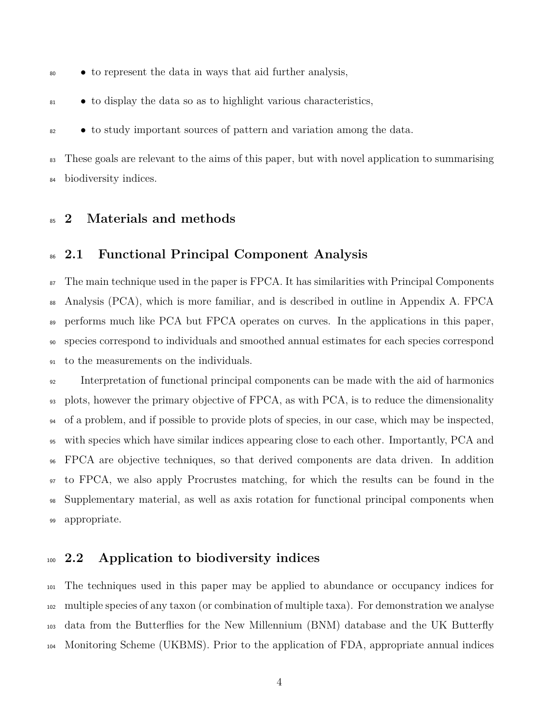- to represent the data in ways that aid further analysis,
- to display the data so as to highlight various characteristics,
- to study important sources of pattern and variation among the data.

<sup>83</sup> These goals are relevant to the aims of this paper, but with novel application to summarising biodiversity indices.

#### **2 Materials and methods**

#### **2.1 Functional Principal Component Analysis**

 $\sigma$  The main technique used in the paper is FPCA. It has similarities with Principal Components Analysis (PCA), which is more familiar, and is described in outline in Appendix A. FPCA performs much like PCA but FPCA operates on curves. In the applications in this paper, species correspond to individuals and smoothed annual estimates for each species correspond to the measurements on the individuals.

 Interpretation of functional principal components can be made with the aid of harmonics plots, however the primary objective of FPCA, as with PCA, is to reduce the dimensionality of a problem, and if possible to provide plots of species, in our case, which may be inspected, with species which have similar indices appearing close to each other. Importantly, PCA and FPCA are objective techniques, so that derived components are data driven. In addition to FPCA, we also apply Procrustes matching, for which the results can be found in the Supplementary material, as well as axis rotation for functional principal components when appropriate.

#### **2.2 Application to biodiversity indices**

 The techniques used in this paper may be applied to abundance or occupancy indices for multiple species of any taxon (or combination of multiple taxa). For demonstration we analyse data from the Butterflies for the New Millennium (BNM) database and the UK Butterfly Monitoring Scheme (UKBMS). Prior to the application of FDA, appropriate annual indices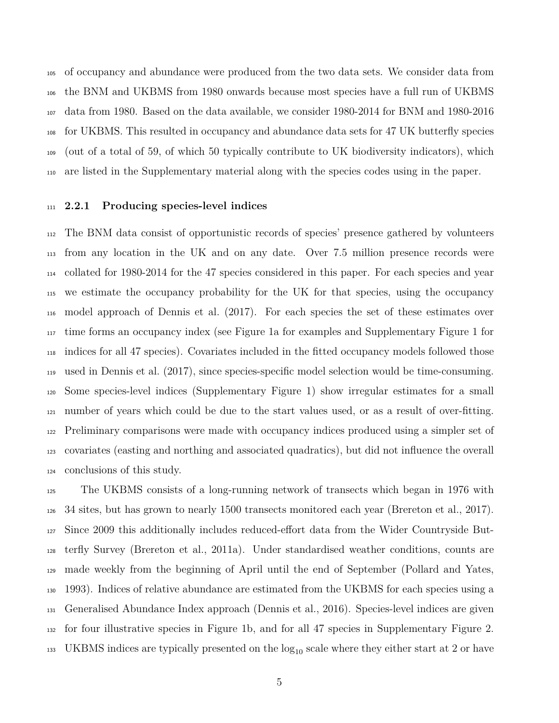of occupancy and abundance were produced from the two data sets. We consider data from the BNM and UKBMS from 1980 onwards because most species have a full run of UKBMS data from 1980. Based on the data available, we consider 1980-2014 for BNM and 1980-2016 for UKBMS. This resulted in occupancy and abundance data sets for 47 UK butterfly species (out of a total of 59, of which 50 typically contribute to UK biodiversity indicators), which are listed in the Supplementary material along with the species codes using in the paper.

#### **2.2.1 Producing species-level indices**

 The BNM data consist of opportunistic records of species' presence gathered by volunteers from any location in the UK and on any date. Over 7.5 million presence records were collated for 1980-2014 for the 47 species considered in this paper. For each species and year we estimate the occupancy probability for the UK for that species, using the occupancy model approach of Dennis et al. (2017). For each species the set of these estimates over time forms an occupancy index (see Figure 1a for examples and Supplementary Figure 1 for indices for all 47 species). Covariates included in the fitted occupancy models followed those used in Dennis et al. (2017), since species-specific model selection would be time-consuming. Some species-level indices (Supplementary Figure 1) show irregular estimates for a small number of years which could be due to the start values used, or as a result of over-fitting. Preliminary comparisons were made with occupancy indices produced using a simpler set of covariates (easting and northing and associated quadratics), but did not influence the overall conclusions of this study.

 The UKBMS consists of a long-running network of transects which began in 1976 with 34 sites, but has grown to nearly 1500 transects monitored each year (Brereton et al., 2017). Since 2009 this additionally includes reduced-effort data from the Wider Countryside But- terfly Survey (Brereton et al., 2011a). Under standardised weather conditions, counts are made weekly from the beginning of April until the end of September (Pollard and Yates, 1993). Indices of relative abundance are estimated from the UKBMS for each species using a Generalised Abundance Index approach (Dennis et al., 2016). Species-level indices are given for four illustrative species in Figure 1b, and for all 47 species in Supplementary Figure 2. <sup>133</sup> UKBMS indices are typically presented on the  $log_{10}$  scale where they either start at 2 or have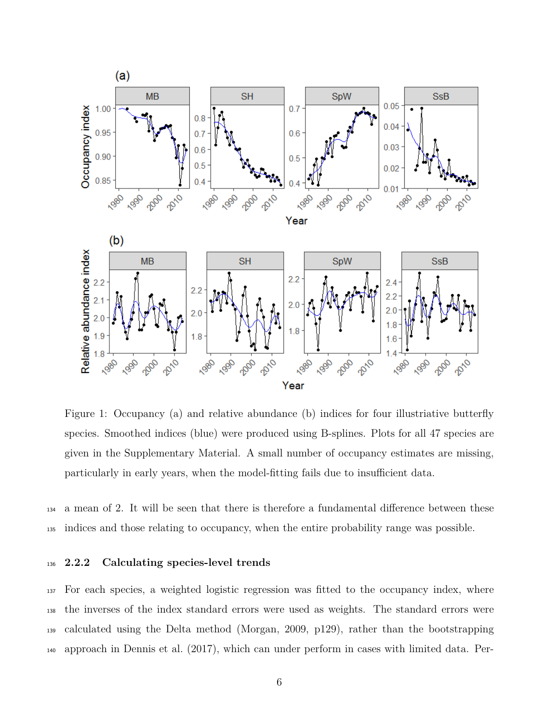

Figure 1: Occupancy (a) and relative abundance (b) indices for four illustriative butterfly species. Smoothed indices (blue) were produced using B-splines. Plots for all 47 species are given in the Supplementary Material. A small number of occupancy estimates are missing, particularly in early years, when the model-fitting fails due to insufficient data.

 a mean of 2. It will be seen that there is therefore a fundamental difference between these indices and those relating to occupancy, when the entire probability range was possible.

#### **2.2.2 Calculating species-level trends**

 For each species, a weighted logistic regression was fitted to the occupancy index, where the inverses of the index standard errors were used as weights. The standard errors were calculated using the Delta method (Morgan, 2009, p129), rather than the bootstrapping approach in Dennis et al. (2017), which can under perform in cases with limited data. Per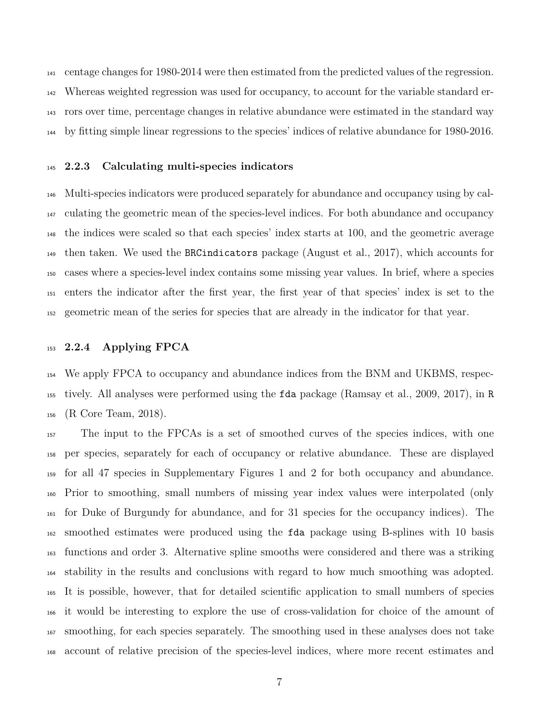centage changes for 1980-2014 were then estimated from the predicted values of the regression. Whereas weighted regression was used for occupancy, to account for the variable standard er- rors over time, percentage changes in relative abundance were estimated in the standard way by fitting simple linear regressions to the species' indices of relative abundance for 1980-2016.

#### **2.2.3 Calculating multi-species indicators**

 Multi-species indicators were produced separately for abundance and occupancy using by cal- culating the geometric mean of the species-level indices. For both abundance and occupancy the indices were scaled so that each species' index starts at 100, and the geometric average then taken. We used the BRCindicators package (August et al., 2017), which accounts for cases where a species-level index contains some missing year values. In brief, where a species enters the indicator after the first year, the first year of that species' index is set to the geometric mean of the series for species that are already in the indicator for that year.

#### **2.2.4 Applying FPCA**

 We apply FPCA to occupancy and abundance indices from the BNM and UKBMS, respec- tively. All analyses were performed using the fda package (Ramsay et al., 2009, 2017), in R (R Core Team, 2018).

 The input to the FPCAs is a set of smoothed curves of the species indices, with one per species, separately for each of occupancy or relative abundance. These are displayed for all 47 species in Supplementary Figures 1 and 2 for both occupancy and abundance. Prior to smoothing, small numbers of missing year index values were interpolated (only for Duke of Burgundy for abundance, and for 31 species for the occupancy indices). The smoothed estimates were produced using the fda package using B-splines with 10 basis functions and order 3. Alternative spline smooths were considered and there was a striking stability in the results and conclusions with regard to how much smoothing was adopted. It is possible, however, that for detailed scientific application to small numbers of species it would be interesting to explore the use of cross-validation for choice of the amount of smoothing, for each species separately. The smoothing used in these analyses does not take account of relative precision of the species-level indices, where more recent estimates and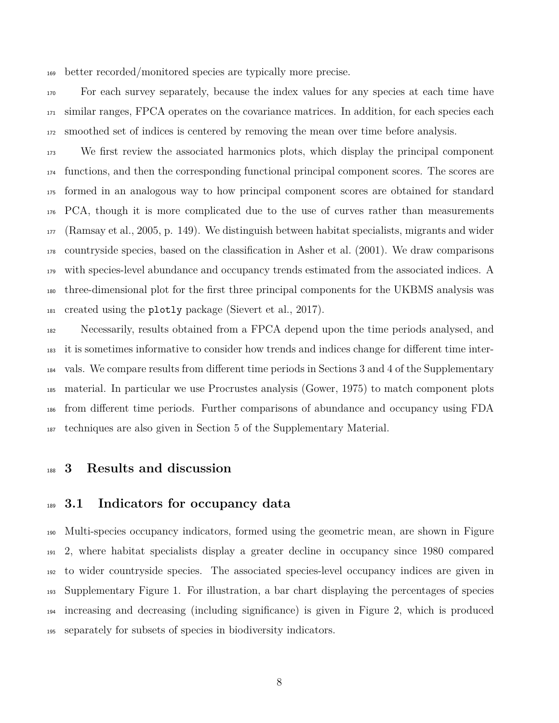better recorded/monitored species are typically more precise.

 For each survey separately, because the index values for any species at each time have similar ranges, FPCA operates on the covariance matrices. In addition, for each species each smoothed set of indices is centered by removing the mean over time before analysis.

 We first review the associated harmonics plots, which display the principal component functions, and then the corresponding functional principal component scores. The scores are formed in an analogous way to how principal component scores are obtained for standard PCA, though it is more complicated due to the use of curves rather than measurements (Ramsay et al., 2005, p. 149). We distinguish between habitat specialists, migrants and wider countryside species, based on the classification in Asher et al. (2001). We draw comparisons with species-level abundance and occupancy trends estimated from the associated indices. A three-dimensional plot for the first three principal components for the UKBMS analysis was created using the plotly package (Sievert et al., 2017).

 Necessarily, results obtained from a FPCA depend upon the time periods analysed, and it is sometimes informative to consider how trends and indices change for different time inter- vals. We compare results from different time periods in Sections 3 and 4 of the Supplementary material. In particular we use Procrustes analysis (Gower, 1975) to match component plots from different time periods. Further comparisons of abundance and occupancy using FDA techniques are also given in Section 5 of the Supplementary Material.

#### **3 Results and discussion**

#### **3.1 Indicators for occupancy data**

 Multi-species occupancy indicators, formed using the geometric mean, are shown in Figure 2, where habitat specialists display a greater decline in occupancy since 1980 compared to wider countryside species. The associated species-level occupancy indices are given in Supplementary Figure 1. For illustration, a bar chart displaying the percentages of species increasing and decreasing (including significance) is given in Figure 2, which is produced separately for subsets of species in biodiversity indicators.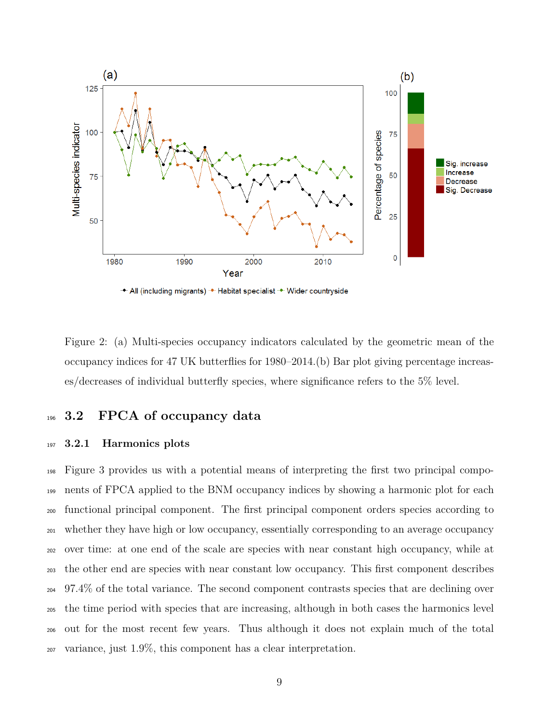

Figure 2: (a) Multi-species occupancy indicators calculated by the geometric mean of the occupancy indices for 47 UK butterflies for 1980–2014.(b) Bar plot giving percentage increases/decreases of individual butterfly species, where significance refers to the 5% level.

#### **3.2 FPCA of occupancy data**

#### **3.2.1 Harmonics plots**

 Figure 3 provides us with a potential means of interpreting the first two principal compo- nents of FPCA applied to the BNM occupancy indices by showing a harmonic plot for each functional principal component. The first principal component orders species according to whether they have high or low occupancy, essentially corresponding to an average occupancy over time: at one end of the scale are species with near constant high occupancy, while at the other end are species with near constant low occupancy. This first component describes 97.4% of the total variance. The second component contrasts species that are declining over the time period with species that are increasing, although in both cases the harmonics level out for the most recent few years. Thus although it does not explain much of the total variance, just 1.9%, this component has a clear interpretation.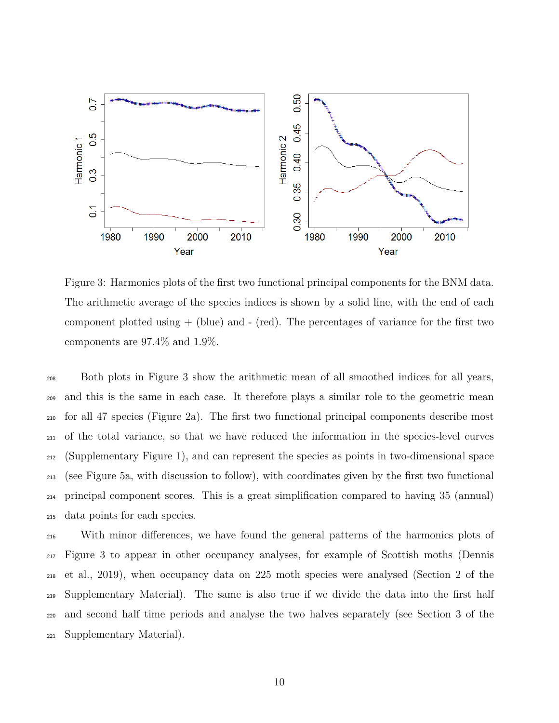

Figure 3: Harmonics plots of the first two functional principal components for the BNM data. The arithmetic average of the species indices is shown by a solid line, with the end of each component plotted using  $+$  (blue) and  $-$  (red). The percentages of variance for the first two components are 97.4% and 1.9%.

 Both plots in Figure 3 show the arithmetic mean of all smoothed indices for all years, and this is the same in each case. It therefore plays a similar role to the geometric mean for all 47 species (Figure 2a). The first two functional principal components describe most of the total variance, so that we have reduced the information in the species-level curves (Supplementary Figure 1), and can represent the species as points in two-dimensional space (see Figure 5a, with discussion to follow), with coordinates given by the first two functional principal component scores. This is a great simplification compared to having 35 (annual) data points for each species.

 With minor differences, we have found the general patterns of the harmonics plots of Figure 3 to appear in other occupancy analyses, for example of Scottish moths (Dennis et al., 2019), when occupancy data on 225 moth species were analysed (Section 2 of the Supplementary Material). The same is also true if we divide the data into the first half and second half time periods and analyse the two halves separately (see Section 3 of the Supplementary Material).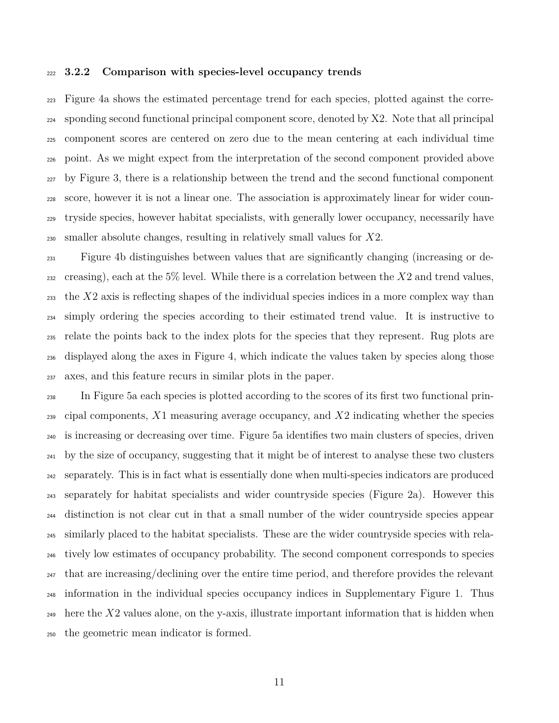#### **3.2.2 Comparison with species-level occupancy trends**

 Figure 4a shows the estimated percentage trend for each species, plotted against the corre- sponding second functional principal component score, denoted by X2. Note that all principal component scores are centered on zero due to the mean centering at each individual time point. As we might expect from the interpretation of the second component provided above by Figure 3, there is a relationship between the trend and the second functional component score, however it is not a linear one. The association is approximately linear for wider coun- tryside species, however habitat specialists, with generally lower occupancy, necessarily have smaller absolute changes, resulting in relatively small values for *X*2.

 Figure 4b distinguishes between values that are significantly changing (increasing or de- creasing), each at the 5% level. While there is a correlation between the *X*2 and trend values, the *X*2 axis is reflecting shapes of the individual species indices in a more complex way than simply ordering the species according to their estimated trend value. It is instructive to relate the points back to the index plots for the species that they represent. Rug plots are displayed along the axes in Figure 4, which indicate the values taken by species along those axes, and this feature recurs in similar plots in the paper.

 In Figure 5a each species is plotted according to the scores of its first two functional prin- cipal components, *X*1 measuring average occupancy, and *X*2 indicating whether the species is increasing or decreasing over time. Figure 5a identifies two main clusters of species, driven by the size of occupancy, suggesting that it might be of interest to analyse these two clusters separately. This is in fact what is essentially done when multi-species indicators are produced separately for habitat specialists and wider countryside species (Figure 2a). However this distinction is not clear cut in that a small number of the wider countryside species appear similarly placed to the habitat specialists. These are the wider countryside species with rela- tively low estimates of occupancy probability. The second component corresponds to species  $_{247}$  that are increasing/declining over the entire time period, and therefore provides the relevant information in the individual species occupancy indices in Supplementary Figure 1. Thus here the *X*2 values alone, on the y-axis, illustrate important information that is hidden when the geometric mean indicator is formed.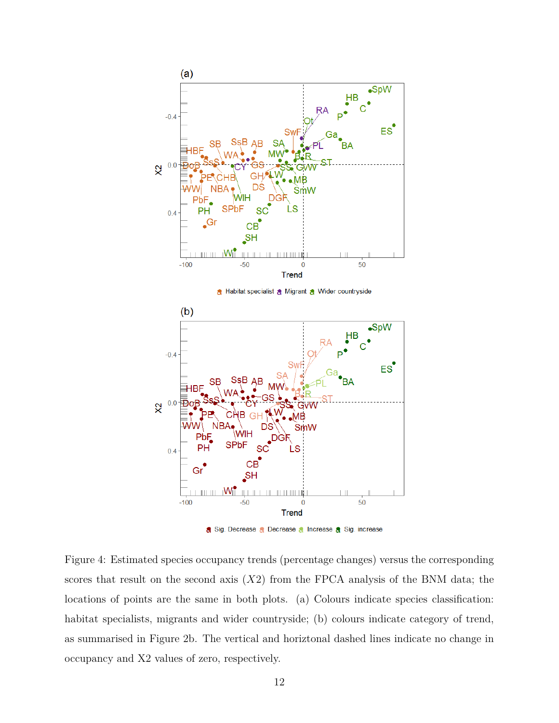

Figure 4: Estimated species occupancy trends (percentage changes) versus the corresponding scores that result on the second axis (*X*2) from the FPCA analysis of the BNM data; the locations of points are the same in both plots. (a) Colours indicate species classification: habitat specialists, migrants and wider countryside; (b) colours indicate category of trend, as summarised in Figure 2b. The vertical and horiztonal dashed lines indicate no change in occupancy and X2 values of zero, respectively.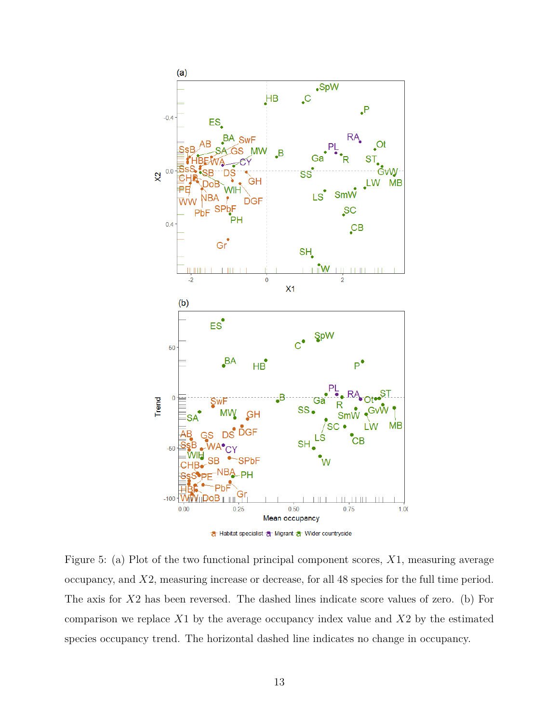

Figure 5: (a) Plot of the two functional principal component scores, *X*1, measuring average occupancy, and *X*2, measuring increase or decrease, for all 48 species for the full time period. The axis for *X*2 has been reversed. The dashed lines indicate score values of zero. (b) For comparison we replace *X*1 by the average occupancy index value and *X*2 by the estimated species occupancy trend. The horizontal dashed line indicates no change in occupancy.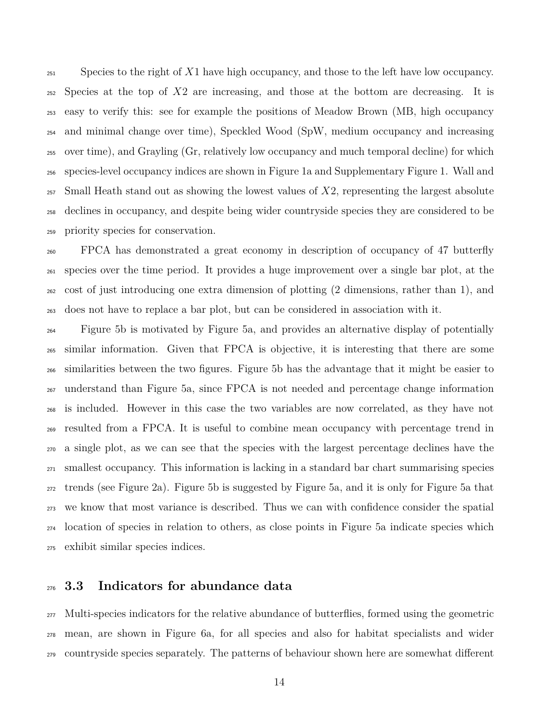Species to the right of *X*1 have high occupancy, and those to the left have low occupancy. Species at the top of *X*2 are increasing, and those at the bottom are decreasing. It is easy to verify this: see for example the positions of Meadow Brown (MB, high occupancy and minimal change over time), Speckled Wood (SpW, medium occupancy and increasing over time), and Grayling (Gr, relatively low occupancy and much temporal decline) for which species-level occupancy indices are shown in Figure 1a and Supplementary Figure 1. Wall and Small Heath stand out as showing the lowest values of *X*2, representing the largest absolute declines in occupancy, and despite being wider countryside species they are considered to be priority species for conservation.

 FPCA has demonstrated a great economy in description of occupancy of 47 butterfly species over the time period. It provides a huge improvement over a single bar plot, at the cost of just introducing one extra dimension of plotting (2 dimensions, rather than 1), and does not have to replace a bar plot, but can be considered in association with it.

 Figure 5b is motivated by Figure 5a, and provides an alternative display of potentially similar information. Given that FPCA is objective, it is interesting that there are some similarities between the two figures. Figure 5b has the advantage that it might be easier to understand than Figure 5a, since FPCA is not needed and percentage change information is included. However in this case the two variables are now correlated, as they have not resulted from a FPCA. It is useful to combine mean occupancy with percentage trend in a single plot, as we can see that the species with the largest percentage declines have the smallest occupancy. This information is lacking in a standard bar chart summarising species trends (see Figure 2a). Figure 5b is suggested by Figure 5a, and it is only for Figure 5a that we know that most variance is described. Thus we can with confidence consider the spatial location of species in relation to others, as close points in Figure 5a indicate species which exhibit similar species indices.

#### **3.3 Indicators for abundance data**

 Multi-species indicators for the relative abundance of butterflies, formed using the geometric mean, are shown in Figure 6a, for all species and also for habitat specialists and wider countryside species separately. The patterns of behaviour shown here are somewhat different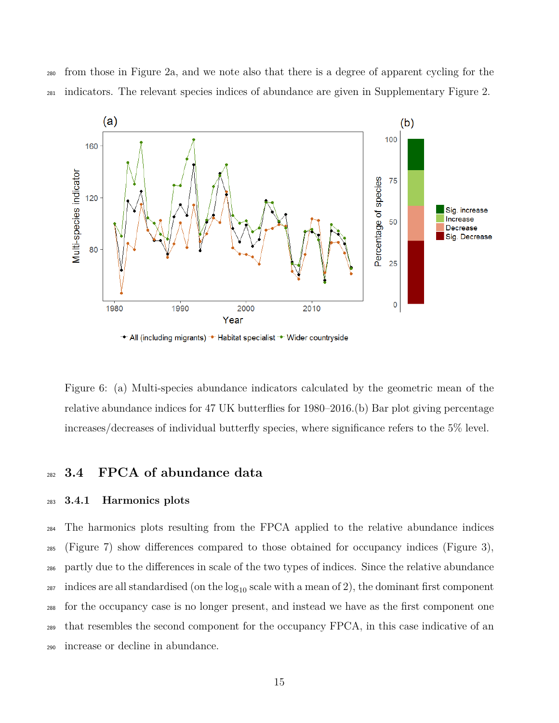from those in Figure 2a, and we note also that there is a degree of apparent cycling for the indicators. The relevant species indices of abundance are given in Supplementary Figure 2.



Figure 6: (a) Multi-species abundance indicators calculated by the geometric mean of the relative abundance indices for 47 UK butterflies for 1980–2016.(b) Bar plot giving percentage increases/decreases of individual butterfly species, where significance refers to the 5% level.

#### **3.4 FPCA of abundance data**

#### **3.4.1 Harmonics plots**

 The harmonics plots resulting from the FPCA applied to the relative abundance indices (Figure 7) show differences compared to those obtained for occupancy indices (Figure 3), partly due to the differences in scale of the two types of indices. Since the relative abundance <sup>287</sup> indices are all standardised (on the  $log_{10}$  scale with a mean of 2), the dominant first component for the occupancy case is no longer present, and instead we have as the first component one that resembles the second component for the occupancy FPCA, in this case indicative of an increase or decline in abundance.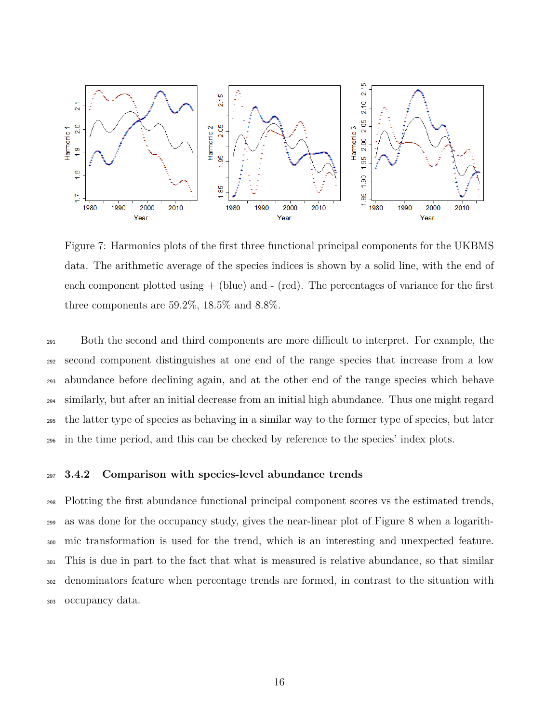

Figure 7: Harmonics plots of the first three functional principal components for the UKBMS data. The arithmetic average of the species indices is shown by a solid line, with the end of each component plotted using  $+$  (blue) and  $-$  (red). The percentages of variance for the first three components are  $59.2\%$ ,  $18.5\%$  and  $8.8\%$ .

 Both the second and third components are more difficult to interpret. For example, the second component distinguishes at one end of the range species that increase from a low abundance before declining again, and at the other end of the range species which behave similarly, but after an initial decrease from an initial high abundance. Thus one might regard the latter type of species as behaving in a similar way to the former type of species, but later in the time period, and this can be checked by reference to the species' index plots.

#### **3.4.2 Comparison with species-level abundance trends**

 Plotting the first abundance functional principal component scores vs the estimated trends, as was done for the occupancy study, gives the near-linear plot of Figure 8 when a logarith- mic transformation is used for the trend, which is an interesting and unexpected feature. This is due in part to the fact that what is measured is relative abundance, so that similar denominators feature when percentage trends are formed, in contrast to the situation with occupancy data.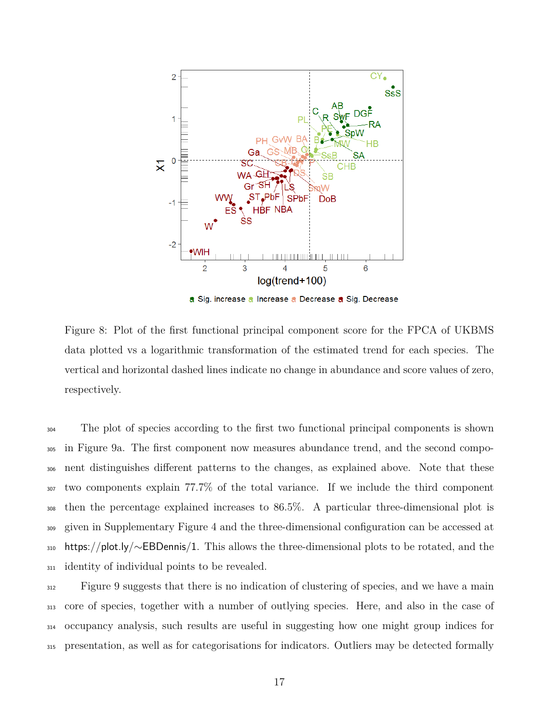

a Sig. increase a Increase a Decrease a Sig. Decrease

Figure 8: Plot of the first functional principal component score for the FPCA of UKBMS data plotted vs a logarithmic transformation of the estimated trend for each species. The vertical and horizontal dashed lines indicate no change in abundance and score values of zero, respectively.

 The plot of species according to the first two functional principal components is shown in Figure 9a. The first component now measures abundance trend, and the second compo- nent distinguishes different patterns to the changes, as explained above. Note that these two components explain 77.7% of the total variance. If we include the third component then the percentage explained increases to 86.5%. A particular three-dimensional plot is given in Supplementary Figure 4 and the three-dimensional configuration can be accessed at https://plot.ly/∼EBDennis/1. This allows the three-dimensional plots to be rotated, and the identity of individual points to be revealed.

 Figure 9 suggests that there is no indication of clustering of species, and we have a main core of species, together with a number of outlying species. Here, and also in the case of occupancy analysis, such results are useful in suggesting how one might group indices for presentation, as well as for categorisations for indicators. Outliers may be detected formally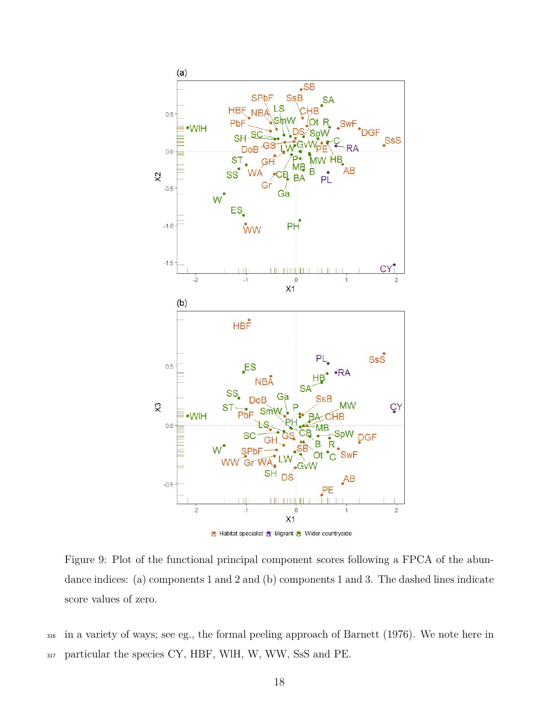

Figure 9: Plot of the functional principal component scores following a FPCA of the abundance indices: (a) components 1 and 2 and (b) components 1 and 3. The dashed lines indicate score values of zero.

<sup>316</sup> in a variety of ways; see eg., the formal peeling approach of Barnett (1976). We note here in <sup>317</sup> particular the species CY, HBF, WlH, W, WW, SsS and PE.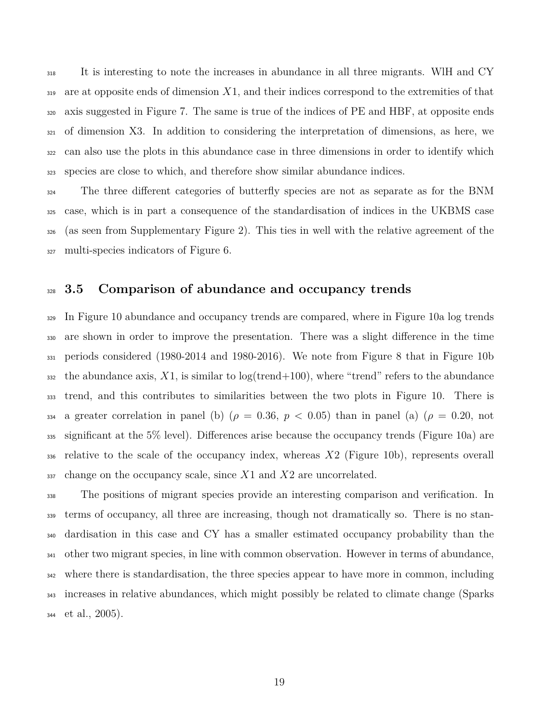It is interesting to note the increases in abundance in all three migrants. WlH and CY are at opposite ends of dimension *X*1, and their indices correspond to the extremities of that axis suggested in Figure 7. The same is true of the indices of PE and HBF, at opposite ends of dimension X3. In addition to considering the interpretation of dimensions, as here, we can also use the plots in this abundance case in three dimensions in order to identify which species are close to which, and therefore show similar abundance indices.

 The three different categories of butterfly species are not as separate as for the BNM case, which is in part a consequence of the standardisation of indices in the UKBMS case (as seen from Supplementary Figure 2). This ties in well with the relative agreement of the multi-species indicators of Figure 6.

#### **3.5 Comparison of abundance and occupancy trends**

<sup>329</sup> In Figure 10 abundance and occupancy trends are compared, where in Figure 10a log trends are shown in order to improve the presentation. There was a slight difference in the time periods considered (1980-2014 and 1980-2016). We note from Figure 8 that in Figure 10b  $\alpha$ <sup>332</sup> the abundance axis, X1, is similar to log(trend+100), where "trend" refers to the abundance trend, and this contributes to similarities between the two plots in Figure 10. There is 334 a greater correlation in panel (b) ( $\rho = 0.36, p < 0.05$ ) than in panel (a) ( $\rho = 0.20, \text{ not}$  significant at the 5% level). Differences arise because the occupancy trends (Figure 10a) are relative to the scale of the occupancy index, whereas *X*2 (Figure 10b), represents overall change on the occupancy scale, since *X*1 and *X*2 are uncorrelated.

 The positions of migrant species provide an interesting comparison and verification. In terms of occupancy, all three are increasing, though not dramatically so. There is no stan- dardisation in this case and CY has a smaller estimated occupancy probability than the other two migrant species, in line with common observation. However in terms of abundance, where there is standardisation, the three species appear to have more in common, including increases in relative abundances, which might possibly be related to climate change (Sparks et al., 2005).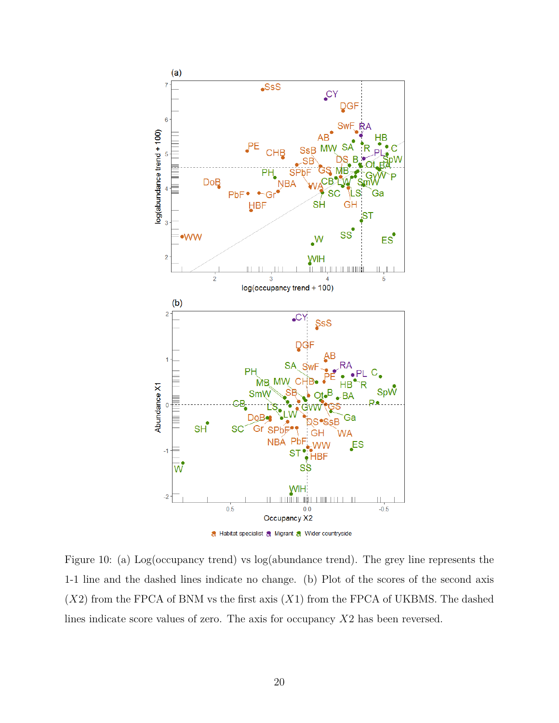

Figure 10: (a) Log(occupancy trend) vs log(abundance trend). The grey line represents the 1-1 line and the dashed lines indicate no change. (b) Plot of the scores of the second axis (*X*2) from the FPCA of BNM vs the first axis (*X*1) from the FPCA of UKBMS. The dashed lines indicate score values of zero. The axis for occupancy *X*2 has been reversed.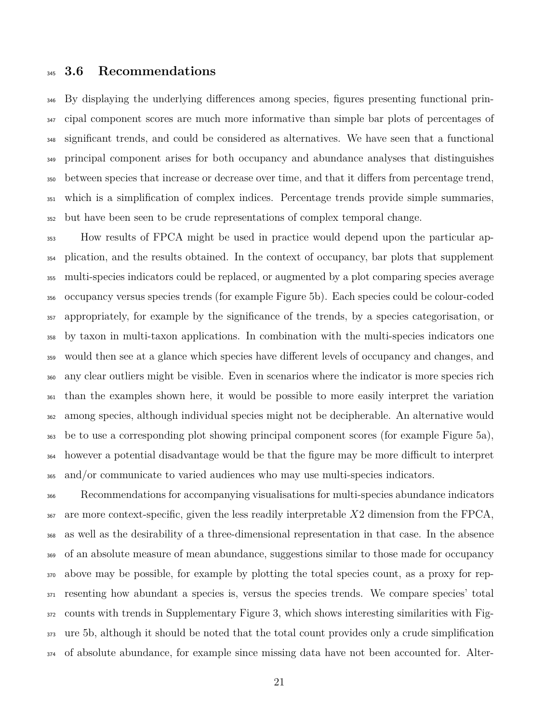#### **3.6 Recommendations**

 By displaying the underlying differences among species, figures presenting functional prin- cipal component scores are much more informative than simple bar plots of percentages of significant trends, and could be considered as alternatives. We have seen that a functional principal component arises for both occupancy and abundance analyses that distinguishes between species that increase or decrease over time, and that it differs from percentage trend, which is a simplification of complex indices. Percentage trends provide simple summaries, but have been seen to be crude representations of complex temporal change.

 How results of FPCA might be used in practice would depend upon the particular ap- plication, and the results obtained. In the context of occupancy, bar plots that supplement multi-species indicators could be replaced, or augmented by a plot comparing species average occupancy versus species trends (for example Figure 5b). Each species could be colour-coded appropriately, for example by the significance of the trends, by a species categorisation, or by taxon in multi-taxon applications. In combination with the multi-species indicators one would then see at a glance which species have different levels of occupancy and changes, and any clear outliers might be visible. Even in scenarios where the indicator is more species rich than the examples shown here, it would be possible to more easily interpret the variation among species, although individual species might not be decipherable. An alternative would be to use a corresponding plot showing principal component scores (for example Figure 5a), however a potential disadvantage would be that the figure may be more difficult to interpret and/or communicate to varied audiences who may use multi-species indicators.

 Recommendations for accompanying visualisations for multi-species abundance indicators are more context-specific, given the less readily interpretable *X*2 dimension from the FPCA, as well as the desirability of a three-dimensional representation in that case. In the absence of an absolute measure of mean abundance, suggestions similar to those made for occupancy above may be possible, for example by plotting the total species count, as a proxy for rep- resenting how abundant a species is, versus the species trends. We compare species' total counts with trends in Supplementary Figure 3, which shows interesting similarities with Fig- ure 5b, although it should be noted that the total count provides only a crude simplification of absolute abundance, for example since missing data have not been accounted for. Alter-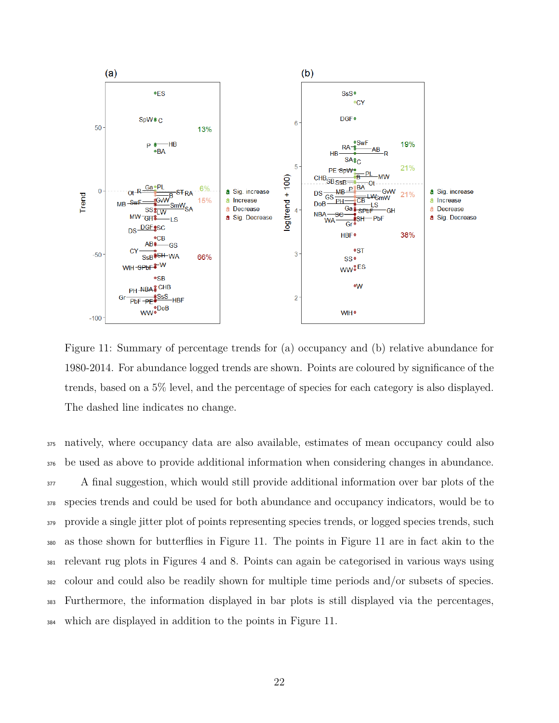

Figure 11: Summary of percentage trends for (a) occupancy and (b) relative abundance for 1980-2014. For abundance logged trends are shown. Points are coloured by significance of the trends, based on a 5% level, and the percentage of species for each category is also displayed. The dashed line indicates no change.

 natively, where occupancy data are also available, estimates of mean occupancy could also be used as above to provide additional information when considering changes in abundance. <sup>377</sup> A final suggestion, which would still provide additional information over bar plots of the species trends and could be used for both abundance and occupancy indicators, would be to 379 provide a single jitter plot of points representing species trends, or logged species trends, such as those shown for butterflies in Figure 11. The points in Figure 11 are in fact akin to the relevant rug plots in Figures 4 and 8. Points can again be categorised in various ways using colour and could also be readily shown for multiple time periods and/or subsets of species. Furthermore, the information displayed in bar plots is still displayed via the percentages, which are displayed in addition to the points in Figure 11.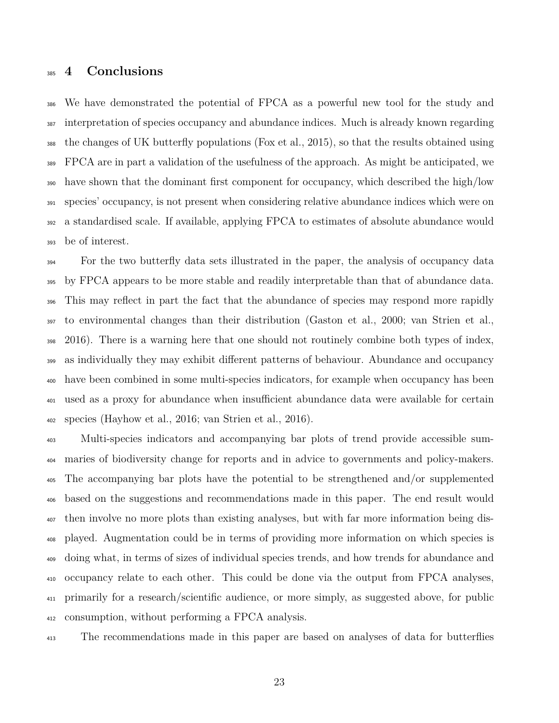#### **4 Conclusions**

 We have demonstrated the potential of FPCA as a powerful new tool for the study and interpretation of species occupancy and abundance indices. Much is already known regarding the changes of UK butterfly populations (Fox et al., 2015), so that the results obtained using FPCA are in part a validation of the usefulness of the approach. As might be anticipated, we have shown that the dominant first component for occupancy, which described the high/low species' occupancy, is not present when considering relative abundance indices which were on a standardised scale. If available, applying FPCA to estimates of absolute abundance would be of interest.

 For the two butterfly data sets illustrated in the paper, the analysis of occupancy data by FPCA appears to be more stable and readily interpretable than that of abundance data. This may reflect in part the fact that the abundance of species may respond more rapidly to environmental changes than their distribution (Gaston et al., 2000; van Strien et al., 2016). There is a warning here that one should not routinely combine both types of index, as individually they may exhibit different patterns of behaviour. Abundance and occupancy have been combined in some multi-species indicators, for example when occupancy has been used as a proxy for abundance when insufficient abundance data were available for certain species (Hayhow et al., 2016; van Strien et al., 2016).

 Multi-species indicators and accompanying bar plots of trend provide accessible sum- maries of biodiversity change for reports and in advice to governments and policy-makers. The accompanying bar plots have the potential to be strengthened and/or supplemented based on the suggestions and recommendations made in this paper. The end result would then involve no more plots than existing analyses, but with far more information being dis- played. Augmentation could be in terms of providing more information on which species is doing what, in terms of sizes of individual species trends, and how trends for abundance and occupancy relate to each other. This could be done via the output from FPCA analyses, primarily for a research/scientific audience, or more simply, as suggested above, for public consumption, without performing a FPCA analysis.

The recommendations made in this paper are based on analyses of data for butterflies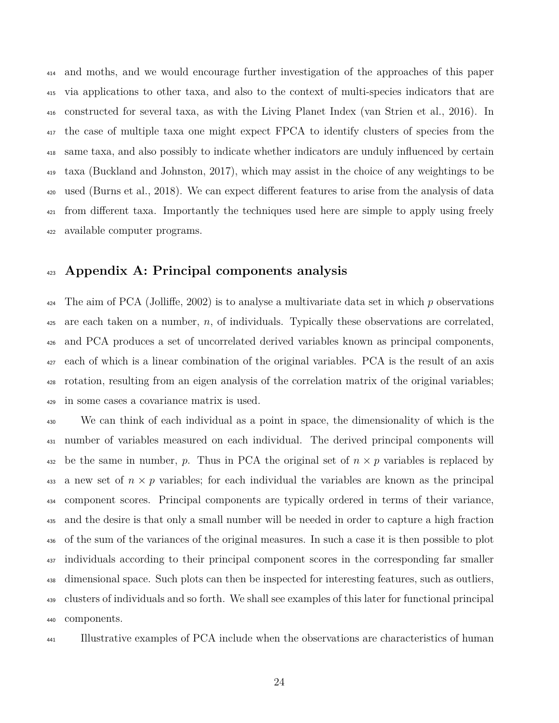and moths, and we would encourage further investigation of the approaches of this paper via applications to other taxa, and also to the context of multi-species indicators that are constructed for several taxa, as with the Living Planet Index (van Strien et al., 2016). In the case of multiple taxa one might expect FPCA to identify clusters of species from the same taxa, and also possibly to indicate whether indicators are unduly influenced by certain taxa (Buckland and Johnston, 2017), which may assist in the choice of any weightings to be used (Burns et al., 2018). We can expect different features to arise from the analysis of data <sup>421</sup> from different taxa. Importantly the techniques used here are simple to apply using freely available computer programs.

#### **Appendix A: Principal components analysis**

 The aim of PCA (Jolliffe, 2002) is to analyse a multivariate data set in which *p* observations are each taken on a number, *n*, of individuals. Typically these observations are correlated, and PCA produces a set of uncorrelated derived variables known as principal components, each of which is a linear combination of the original variables. PCA is the result of an axis rotation, resulting from an eigen analysis of the correlation matrix of the original variables; in some cases a covariance matrix is used.

 We can think of each individual as a point in space, the dimensionality of which is the number of variables measured on each individual. The derived principal components will 432 be the same in number, *p*. Thus in PCA the original set of  $n \times p$  variables is replaced by 433 a new set of  $n \times p$  variables; for each individual the variables are known as the principal component scores. Principal components are typically ordered in terms of their variance, and the desire is that only a small number will be needed in order to capture a high fraction of the sum of the variances of the original measures. In such a case it is then possible to plot individuals according to their principal component scores in the corresponding far smaller dimensional space. Such plots can then be inspected for interesting features, such as outliers, clusters of individuals and so forth. We shall see examples of this later for functional principal components.

Illustrative examples of PCA include when the observations are characteristics of human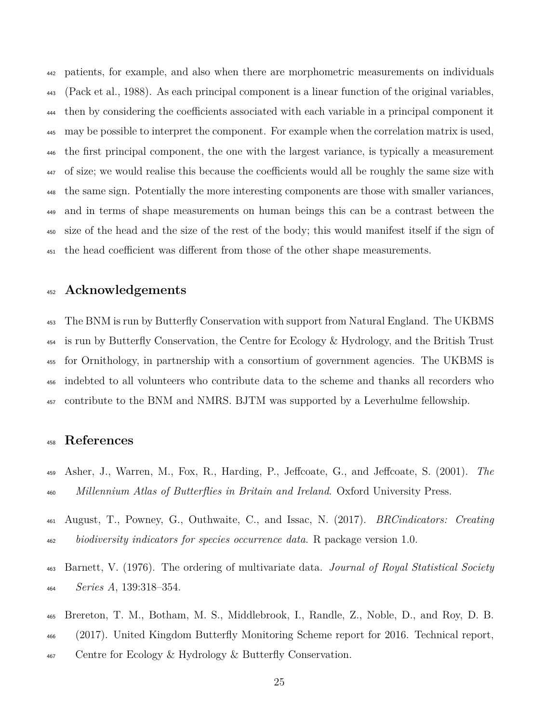patients, for example, and also when there are morphometric measurements on individuals (Pack et al., 1988). As each principal component is a linear function of the original variables, then by considering the coefficients associated with each variable in a principal component it may be possible to interpret the component. For example when the correlation matrix is used, the first principal component, the one with the largest variance, is typically a measurement of size; we would realise this because the coefficients would all be roughly the same size with the same sign. Potentially the more interesting components are those with smaller variances, and in terms of shape measurements on human beings this can be a contrast between the size of the head and the size of the rest of the body; this would manifest itself if the sign of the head coefficient was different from those of the other shape measurements.

#### **Acknowledgements**

 The BNM is run by Butterfly Conservation with support from Natural England. The UKBMS is run by Butterfly Conservation, the Centre for Ecology & Hydrology, and the British Trust for Ornithology, in partnership with a consortium of government agencies. The UKBMS is indebted to all volunteers who contribute data to the scheme and thanks all recorders who contribute to the BNM and NMRS. BJTM was supported by a Leverhulme fellowship.

#### **References**

- Asher, J., Warren, M., Fox, R., Harding, P., Jeffcoate, G., and Jeffcoate, S. (2001). *The Millennium Atlas of Butterflies in Britain and Ireland*. Oxford University Press.
- August, T., Powney, G., Outhwaite, C., and Issac, N. (2017). *BRCindicators: Creating biodiversity indicators for species occurrence data*. R package version 1.0.
- Barnett, V. (1976). The ordering of multivariate data. *Journal of Royal Statistical Society Series A*, 139:318–354.
- Brereton, T. M., Botham, M. S., Middlebrook, I., Randle, Z., Noble, D., and Roy, D. B. (2017). United Kingdom Butterfly Monitoring Scheme report for 2016. Technical report, <sup>467</sup> Centre for Ecology & Hydrology & Butterfly Conservation.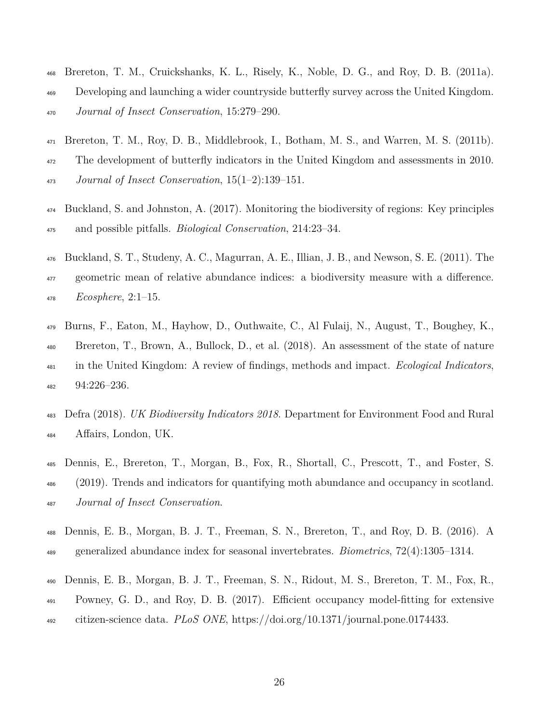- Brereton, T. M., Cruickshanks, K. L., Risely, K., Noble, D. G., and Roy, D. B. (2011a).
- Developing and launching a wider countryside butterfly survey across the United Kingdom. *Journal of Insect Conservation*, 15:279–290.
- Brereton, T. M., Roy, D. B., Middlebrook, I., Botham, M. S., and Warren, M. S. (2011b). The development of butterfly indicators in the United Kingdom and assessments in 2010. *Journal of Insect Conservation*, 15(1–2):139–151.
- Buckland, S. and Johnston, A. (2017). Monitoring the biodiversity of regions: Key principles and possible pitfalls. *Biological Conservation*, 214:23–34.
- Buckland, S. T., Studeny, A. C., Magurran, A. E., Illian, J. B., and Newson, S. E. (2011). The geometric mean of relative abundance indices: a biodiversity measure with a difference. *Ecosphere*, 2:1–15.
- Burns, F., Eaton, M., Hayhow, D., Outhwaite, C., Al Fulaij, N., August, T., Boughey, K., Brereton, T., Brown, A., Bullock, D., et al. (2018). An assessment of the state of nature in the United Kingdom: A review of findings, methods and impact. *Ecological Indicators*, 94:226–236.
- Defra (2018). *UK Biodiversity Indicators 2018*. Department for Environment Food and Rural Affairs, London, UK.
- Dennis, E., Brereton, T., Morgan, B., Fox, R., Shortall, C., Prescott, T., and Foster, S. (2019). Trends and indicators for quantifying moth abundance and occupancy in scotland. *Journal of Insect Conservation*.
- Dennis, E. B., Morgan, B. J. T., Freeman, S. N., Brereton, T., and Roy, D. B. (2016). A generalized abundance index for seasonal invertebrates. *Biometrics*, 72(4):1305–1314.
- Dennis, E. B., Morgan, B. J. T., Freeman, S. N., Ridout, M. S., Brereton, T. M., Fox, R., Powney, G. D., and Roy, D. B. (2017). Efficient occupancy model-fitting for extensive citizen-science data. *PLoS ONE*, https://doi.org/10.1371/journal.pone.0174433.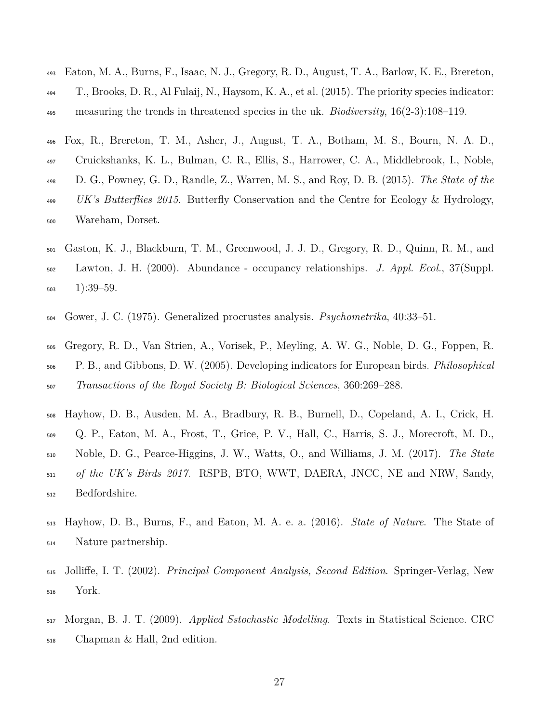- Eaton, M. A., Burns, F., Isaac, N. J., Gregory, R. D., August, T. A., Barlow, K. E., Brereton,  $_{494}$  T., Brooks, D. R., Al Fulaij, N., Haysom, K. A., et al. (2015). The priority species indicator: measuring the trends in threatened species in the uk. *Biodiversity*, 16(2-3):108–119.
- Fox, R., Brereton, T. M., Asher, J., August, T. A., Botham, M. S., Bourn, N. A. D.,
- Cruickshanks, K. L., Bulman, C. R., Ellis, S., Harrower, C. A., Middlebrook, I., Noble,
- D. G., Powney, G. D., Randle, Z., Warren, M. S., and Roy, D. B. (2015). *The State of the*
- *UK's Butterflies 2015*. Butterfly Conservation and the Centre for Ecology & Hydrology, Wareham, Dorset.
- Gaston, K. J., Blackburn, T. M., Greenwood, J. J. D., Gregory, R. D., Quinn, R. M., and Lawton, J. H. (2000). Abundance - occupancy relationships. *J. Appl. Ecol.*, 37(Suppl.  $_{503}$  1):39-59.
- Gower, J. C. (1975). Generalized procrustes analysis. *Psychometrika*, 40:33–51.
- Gregory, R. D., Van Strien, A., Vorisek, P., Meyling, A. W. G., Noble, D. G., Foppen, R. P. B., and Gibbons, D. W. (2005). Developing indicators for European birds. *Philosophical Transactions of the Royal Society B: Biological Sciences*, 360:269–288.
- Hayhow, D. B., Ausden, M. A., Bradbury, R. B., Burnell, D., Copeland, A. I., Crick, H. Q. P., Eaton, M. A., Frost, T., Grice, P. V., Hall, C., Harris, S. J., Morecroft, M. D., Noble, D. G., Pearce-Higgins, J. W., Watts, O., and Williams, J. M. (2017). *The State of the UK's Birds 2017*. RSPB, BTO, WWT, DAERA, JNCC, NE and NRW, Sandy, Bedfordshire.
- Hayhow, D. B., Burns, F., and Eaton, M. A. e. a. (2016). *State of Nature*. The State of Nature partnership.
- Jolliffe, I. T. (2002). *Principal Component Analysis, Second Edition*. Springer-Verlag, New York.
- Morgan, B. J. T. (2009). *Applied Sstochastic Modelling*. Texts in Statistical Science. CRC Chapman & Hall, 2nd edition.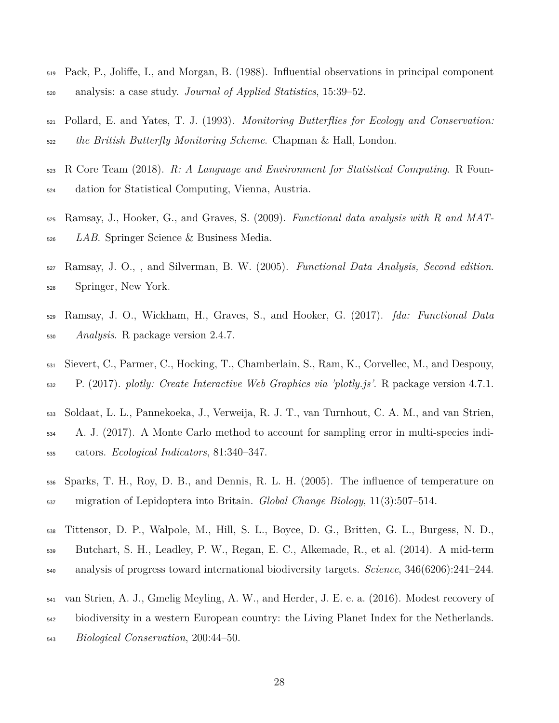- Pack, P., Joliffe, I., and Morgan, B. (1988). Influential observations in principal component analysis: a case study. *Journal of Applied Statistics*, 15:39–52.
- Pollard, E. and Yates, T. J. (1993). *Monitoring Butterflies for Ecology and Conservation: the British Butterfly Monitoring Scheme*. Chapman & Hall, London.
- R Core Team (2018). *R: A Language and Environment for Statistical Computing*. R Foun-dation for Statistical Computing, Vienna, Austria.
- Ramsay, J., Hooker, G., and Graves, S. (2009). *Functional data analysis with R and MAT-LAB*. Springer Science & Business Media.
- Ramsay, J. O., , and Silverman, B. W. (2005). *Functional Data Analysis, Second edition*. Springer, New York.
- Ramsay, J. O., Wickham, H., Graves, S., and Hooker, G. (2017). *fda: Functional Data Analysis*. R package version 2.4.7.
- Sievert, C., Parmer, C., Hocking, T., Chamberlain, S., Ram, K., Corvellec, M., and Despouy, P. (2017). *plotly: Create Interactive Web Graphics via 'plotly.js'*. R package version 4.7.1.
- Soldaat, L. L., Pannekoeka, J., Verweija, R. J. T., van Turnhout, C. A. M., and van Strien, A. J. (2017). A Monte Carlo method to account for sampling error in multi-species indi-cators. *Ecological Indicators*, 81:340–347.
- Sparks, T. H., Roy, D. B., and Dennis, R. L. H. (2005). The influence of temperature on migration of Lepidoptera into Britain. *Global Change Biology*, 11(3):507–514.
- Tittensor, D. P., Walpole, M., Hill, S. L., Boyce, D. G., Britten, G. L., Burgess, N. D.,
- Butchart, S. H., Leadley, P. W., Regan, E. C., Alkemade, R., et al. (2014). A mid-term
- analysis of progress toward international biodiversity targets. *Science*, 346(6206):241–244.
- van Strien, A. J., Gmelig Meyling, A. W., and Herder, J. E. e. a. (2016). Modest recovery of
- biodiversity in a western European country: the Living Planet Index for the Netherlands.
- *Biological Conservation*, 200:44–50.